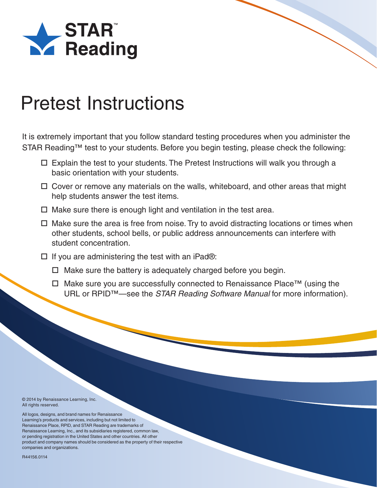

It is extremely important that you follow standard testing procedures when you administer the STAR Reading™ test to your students. Before you begin testing, please check the following:

- $\Box$  Explain the test to your students. The Pretest Instructions will walk you through a basic orientation with your students.
- Cover or remove any materials on the walls, whiteboard, and other areas that might help students answer the test items.
- $\Box$  Make sure there is enough light and ventilation in the test area.
- $\Box$  Make sure the area is free from noise. Try to avoid distracting locations or times when other students, school bells, or public address announcements can interfere with student concentration.
- $\Box$  If you are administering the test with an iPad®:
	- $\Box$  Make sure the battery is adequately charged before you begin.
	- Make sure you are successfully connected to Renaissance Place™ (using the URL or RPID™—see the *STAR Reading Software Manual* for more information).

© 2014 by Renaissance Learning, Inc. All rights reserved.

All logos, designs, and brand names for Renaissance Learning's products and services, including but not limited to Renaissance Place, RPID, and STAR Reading are trademarks of Renaissance Learning, Inc., and its subsidiaries registered, common law, or pending registration in the United States and other countries. All other product and company names should be considered as the property of their respective companies and organizations.

R44156.0114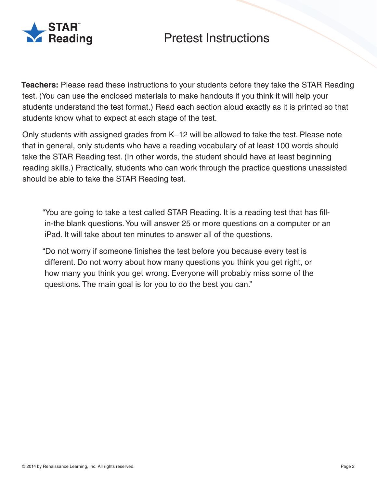

**Teachers:** Please read these instructions to your students before they take the STAR Reading test. (You can use the enclosed materials to make handouts if you think it will help your students understand the test format.) Read each section aloud exactly as it is printed so that students know what to expect at each stage of the test.

Only students with assigned grades from K–12 will be allowed to take the test. Please note that in general, only students who have a reading vocabulary of at least 100 words should take the STAR Reading test. (In other words, the student should have at least beginning reading skills.) Practically, students who can work through the practice questions unassisted should be able to take the STAR Reading test.

"You are going to take a test called STAR Reading. It is a reading test that has fillin-the blank questions. You will answer 25 or more questions on a computer or an iPad. It will take about ten minutes to answer all of the questions.

"Do not worry if someone finishes the test before you because every test is different. Do not worry about how many questions you think you get right, or how many you think you get wrong. Everyone will probably miss some of the questions. The main goal is for you to do the best you can."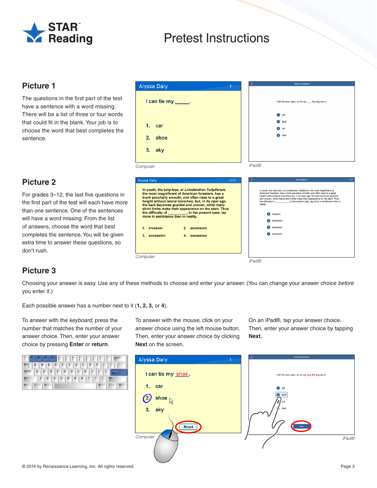

### **Picture 1**

The questions in the first part of the test have a sentence with a word missing. There will be a list of three or four words that could fit in the blank. Your job is to choose the word that best completes the sentence.

## **Picture 2**

For grades 3–12, the last five questions in the first part of the test will each have more than one sentence. One of the sentences will have a word missing. From the list of answers, choose the word that best completes the sentence. You will be given extra time to answer these questions, so don't rush.

| Alyssa Daly                                                                                                                                                                                                                                                                                                                                                                                                                              | Anthony Jacobson                                                                                                                                                                                                                                                                                                                                                                                                                                             |
|------------------------------------------------------------------------------------------------------------------------------------------------------------------------------------------------------------------------------------------------------------------------------------------------------------------------------------------------------------------------------------------------------------------------------------------|--------------------------------------------------------------------------------------------------------------------------------------------------------------------------------------------------------------------------------------------------------------------------------------------------------------------------------------------------------------------------------------------------------------------------------------------------------------|
| $l$ can tie my $\_\_\_\$ .                                                                                                                                                                                                                                                                                                                                                                                                               | I left the door open, so it's my __ the dog ran in.                                                                                                                                                                                                                                                                                                                                                                                                          |
| 1.<br>car<br>2.<br>shoe<br>3.<br>sky                                                                                                                                                                                                                                                                                                                                                                                                     | aift<br>fault<br>act<br>idea                                                                                                                                                                                                                                                                                                                                                                                                                                 |
| Computer                                                                                                                                                                                                                                                                                                                                                                                                                                 | iPadR                                                                                                                                                                                                                                                                                                                                                                                                                                                        |
| <b>Alyssa Daly</b><br>21/25                                                                                                                                                                                                                                                                                                                                                                                                              | û<br>11/34<br><b>Ken Singleton</b>                                                                                                                                                                                                                                                                                                                                                                                                                           |
| In youth, the tulip-tree, or Liriodendron Tulipiferum,<br>the most magnificent of American foresters, has a<br>trunk peculiarly smooth, and often rises to a great<br>height without lateral branches; but, in its riper age,<br>the bark becomes gnarled and uneven, while many<br>short limbs make their appearance on the stem. Thus<br>the difficulty of ___________, in the present case, lay<br>more in semblance than in reality. | In youth, the tulip-tree, or Liriodendron Tulipferum, the most magnificent of<br>American foresters, has a trunk peculiarly smooth, and often rises to a great<br>height without lateral branches; but, in its riper age, the bark becomes gnarled<br>and uneven, while marny short limbs make their appearance on the stem. Thus<br>the difficulty of ____________, in the present case, lay more in semblance than in<br>reality.<br>invasion<br>ascension |
| invasion<br>2. ascension<br>$\mathbf{1}$ .<br>accession<br>4. secession<br>3.                                                                                                                                                                                                                                                                                                                                                            | accession<br>secession                                                                                                                                                                                                                                                                                                                                                                                                                                       |

iPad®

**Computer** 

### **Picture 3**

Choosing your answer is easy. Use any of these methods to choose and enter your answer. (You can change your answer choice before you enter it.)

Each possible answer has a number next to it (**1, 2, 3,** or **4**).

To answer with the keyboard, press the number that matches the number of your answer choice. Then, enter your answer choice by pressing **Enter** or **return**.



To answer with the mouse, click on your answer choice using the left mouse button. Then, enter your answer choice by clicking **Next** on the screen.

On an iPad®, tap your answer choice. Then, enter your answer choice by tapping **Next.**

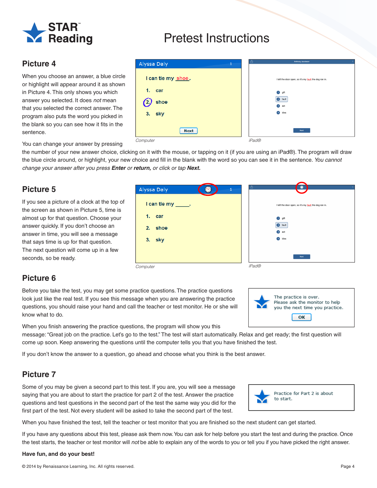

## **Picture 4**

When you choose an answer, a blue circle or highlight will appear around it as shown in Picture 4. This only shows you which answer you selected. It does not mean that you selected the correct answer. The program also puts the word you picked in the blank so you can see how it fits in the sentence.

| <b>Alyssa Daly</b><br>1 | Ů<br>Anthony Jacobson                                  |
|-------------------------|--------------------------------------------------------|
| I can tie my shoe.      | I left the door open, so it's my fault the dog ran in. |
| 1.<br>car               | gift<br>Ω                                              |
| shoe                    | 2 fault                                                |
|                         | act<br>$\left(3\right)$                                |
| ।<br>१. sky<br>3.       | idea<br>$\circ$                                        |
|                         |                                                        |
| <b>Next</b>             | Next                                                   |
| Computer                | iPad®                                                  |

You can change your answer by pressing

the number of your new answer choice, clicking on it with the mouse, or tapping on it (if you are using an iPad®). The program will draw the blue circle around, or highlight, your new choice and fill in the blank with the word so you can see it in the sentence. You cannot change your answer after you press **Enter** or **return,** or click or tap **Next.**

## **Picture 5**

If you see a picture of a clock at the top of the screen as shown in Picture 5, time is almost up for that question. Choose your answer quickly. If you don't choose an answer in time, you will see a message that says time is up for that question. The next question will come up in a few seconds, so be ready.

| Alyssa Daly<br>1                                         | LÕ.<br>۲                                                                                                         |
|----------------------------------------------------------|------------------------------------------------------------------------------------------------------------------|
| I can tie my _____.<br>1.<br>car<br>shoe<br>2.<br>3. sky | I left the door open, so it's my fault the dog ran in.<br><b>O</b> gift<br>2 fault<br>3 act<br>$\bullet$<br>idea |
|                                                          | Next                                                                                                             |
| Computer                                                 | iPad®                                                                                                            |

### **Picture 6**

Before you take the test, you may get some practice questions. The practice questions look just like the real test. If you see this message when you are answering the practice questions, you should raise your hand and call the teacher or test monitor. He or she will know what to do.



When you finish answering the practice questions, the program will show you this

message: "Great job on the practice. Let's go to the test." The test will start automatically. Relax and get ready; the first question will come up soon. Keep answering the questions until the computer tells you that you have finished the test.

If you don't know the answer to a question, go ahead and choose what you think is the best answer.

## **Picture 7**

Some of you may be given a second part to this test. If you are, you will see a message saying that you are about to start the practice for part 2 of the test. Answer the practice questions and test questions in the second part of the test the same way you did for the first part of the test. Not every student will be asked to take the second part of the test.



When you have finished the test, tell the teacher or test monitor that you are finished so the next student can get started.

If you have any questions about this test, please ask them now. You can ask for help before you start the test and during the practice. Once the test starts, the teacher or test monitor will not be able to explain any of the words to you or tell you if you have picked the right answer.

### **Have fun, and do your best!**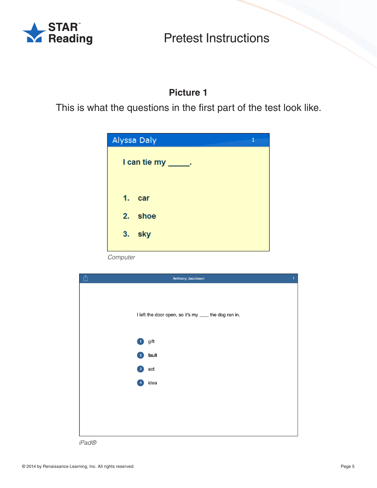

## **Picture 1**

This is what the questions in the first part of the test look like.

| Alyssa Daly                    | 1 |
|--------------------------------|---|
| I can tie my $\qquad \qquad$ . |   |
| 1. car                         |   |
| 2. shoe                        |   |
| 3.<br>sky                      |   |

Computer



iPad®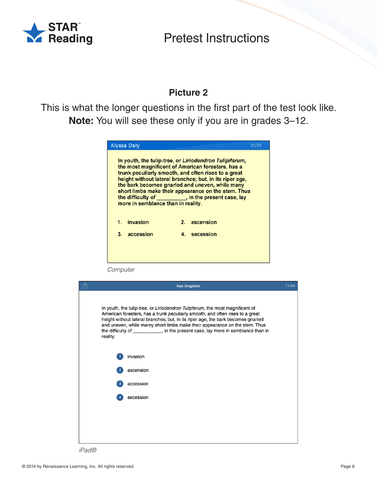

## **Picture 2**

This is what the longer questions in the first part of the test look like. **Note:** You will see these only if you are in grades 3–12.

| Alyssa Daly                                                                                                                                                                                                                                                                                                                                                                                                                              |         |              | 21/25 |
|------------------------------------------------------------------------------------------------------------------------------------------------------------------------------------------------------------------------------------------------------------------------------------------------------------------------------------------------------------------------------------------------------------------------------------------|---------|--------------|-------|
| In youth, the tulip-tree, or Liriodendron Tulipiferum,<br>the most magnificent of American foresters, has a<br>trunk peculiarly smooth, and often rises to a great<br>height without lateral branches; but, in its riper age,<br>the bark becomes gnarled and uneven, while many<br>short limbs make their appearance on the stem. Thus<br>the difficulty of ___________, in the present case, lay<br>more in semblance than in reality. |         |              |       |
| invasion<br>1.                                                                                                                                                                                                                                                                                                                                                                                                                           | $2_{-}$ | ascension    |       |
| accession<br>3.                                                                                                                                                                                                                                                                                                                                                                                                                          |         | 4. secession |       |
|                                                                                                                                                                                                                                                                                                                                                                                                                                          |         |              |       |

Computer



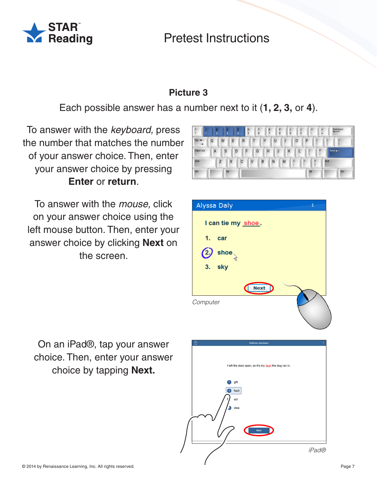

## **Picture 3**

Each possible answer has a number next to it (**1, 2, 3,** or **4**).

To answer with the keyboard, press the number that matches the number of your answer choice. Then, enter your answer choice by pressing **Enter** or **return**.

To answer with the mouse, click on your answer choice using the left mouse button. Then, enter your answer choice by clicking **Next** on the screen.



| <b>Alyssa Daly</b>    |             | $\mathbf{1}$ |
|-----------------------|-------------|--------------|
| I can tie my shoe.    |             |              |
| 1. car                |             |              |
| shoe<br>$\mathbf{2},$ |             |              |
| 3. sky                |             |              |
|                       | <b>Next</b> |              |
| Computer              |             |              |

On an iPad®, tap your answer choice. Then, enter your answer choice by tapping **Next.**

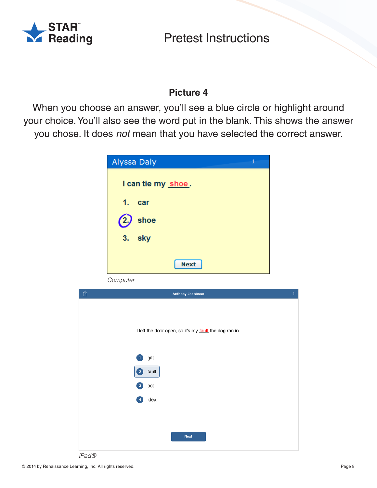

## **Picture 4**

When you choose an answer, you'll see a blue circle or highlight around your choice. You'll also see the word put in the blank. This shows the answer you chose. It does not mean that you have selected the correct answer.

| Alyssa Daly<br>1   |
|--------------------|
| I can tie my shoe. |
| 1. car             |
| shoe<br>(2,        |
| 3.<br>sky          |
| <b>Next</b>        |





iPad®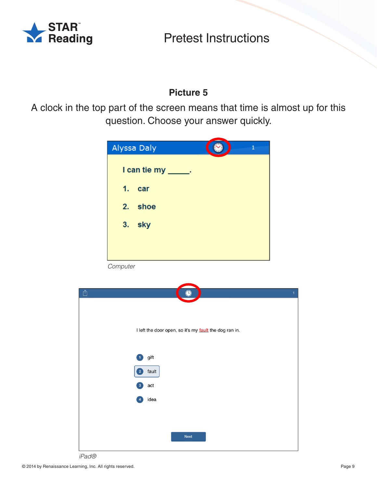

## **Picture 5**

A clock in the top part of the screen means that time is almost up for this question. Choose your answer quickly.



**Computer** 



iPad®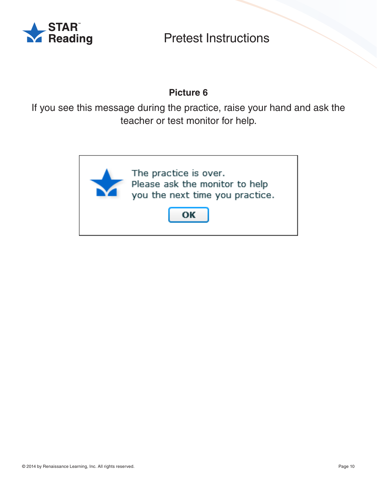

## **Picture 6**

If you see this message during the practice, raise your hand and ask the teacher or test monitor for help.